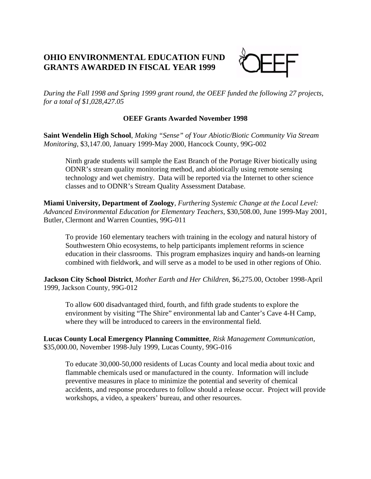## **OHIO ENVIRONMENTAL EDUCATION FUND GRANTS AWARDED IN FISCAL YEAR 1999**



*During the Fall 1998 and Spring 1999 grant round, the OEEF funded the following 27 projects, for a total of \$1,028,427.05*

## **OEEF Grants Awarded November 1998**

**Saint Wendelin High School**, *Making "Sense" of Your Abiotic/Biotic Community Via Stream Monitoring*, \$3,147.00, January 1999-May 2000, Hancock County, 99G-002

Ninth grade students will sample the East Branch of the Portage River biotically using ODNR's stream quality monitoring method, and abiotically using remote sensing technology and wet chemistry. Data will be reported via the Internet to other science classes and to ODNR's Stream Quality Assessment Database.

**Miami University, Department of Zoology**, *Furthering Systemic Change at the Local Level: Advanced Environmental Education for Elementary Teachers*, \$30,508.00, June 1999-May 2001, Butler, Clermont and Warren Counties, 99G-011

To provide 160 elementary teachers with training in the ecology and natural history of Southwestern Ohio ecosystems, to help participants implement reforms in science education in their classrooms. This program emphasizes inquiry and hands-on learning combined with fieldwork, and will serve as a model to be used in other regions of Ohio.

**Jackson City School District**, *Mother Earth and Her Children*, \$6,275.00, October 1998-April 1999, Jackson County, 99G-012

To allow 600 disadvantaged third, fourth, and fifth grade students to explore the environment by visiting "The Shire" environmental lab and Canter's Cave 4-H Camp, where they will be introduced to careers in the environmental field.

**Lucas County Local Emergency Planning Committee**, *Risk Management Communication*, \$35,000.00, November 1998-July 1999, Lucas County, 99G-016

To educate 30,000-50,000 residents of Lucas County and local media about toxic and flammable chemicals used or manufactured in the county. Information will include preventive measures in place to minimize the potential and severity of chemical accidents, and response procedures to follow should a release occur. Project will provide workshops, a video, a speakers' bureau, and other resources.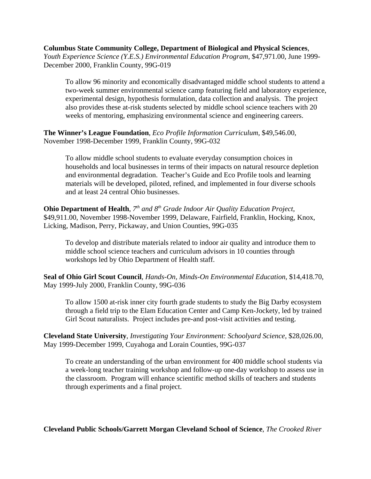## **Columbus State Community College, Department of Biological and Physical Sciences**,

*Youth Experience Science (Y.E.S.) Environmental Education Program*, \$47,971.00, June 1999- December 2000, Franklin County, 99G-019

To allow 96 minority and economically disadvantaged middle school students to attend a two-week summer environmental science camp featuring field and laboratory experience, experimental design, hypothesis formulation, data collection and analysis. The project also provides these at-risk students selected by middle school science teachers with 20 weeks of mentoring, emphasizing environmental science and engineering careers.

**The Winner's League Foundation**, *Eco Profile Information Curriculum*, \$49,546.00, November 1998-December 1999, Franklin County, 99G-032

To allow middle school students to evaluate everyday consumption choices in households and local businesses in terms of their impacts on natural resource depletion and environmental degradation. Teacher's Guide and Eco Profile tools and learning materials will be developed, piloted, refined, and implemented in four diverse schools and at least 24 central Ohio businesses.

**Ohio Department of Health**,  $7<sup>th</sup>$  and  $8<sup>th</sup>$  Grade Indoor Air Quality Education Project, \$49,911.00, November 1998-November 1999, Delaware, Fairfield, Franklin, Hocking, Knox, Licking, Madison, Perry, Pickaway, and Union Counties, 99G-035

To develop and distribute materials related to indoor air quality and introduce them to middle school science teachers and curriculum advisors in 10 counties through workshops led by Ohio Department of Health staff.

**Seal of Ohio Girl Scout Council**, *Hands-On, Minds-On Environmental Education*, \$14,418.70, May 1999-July 2000, Franklin County, 99G-036

To allow 1500 at-risk inner city fourth grade students to study the Big Darby ecosystem through a field trip to the Elam Education Center and Camp Ken-Jockety, led by trained Girl Scout naturalists. Project includes pre-and post-visit activities and testing.

**Cleveland State University**, *Investigating Your Environment: Schoolyard Science*, \$28,026.00, May 1999-December 1999, Cuyahoga and Lorain Counties, 99G-037

To create an understanding of the urban environment for 400 middle school students via a week-long teacher training workshop and follow-up one-day workshop to assess use in the classroom. Program will enhance scientific method skills of teachers and students through experiments and a final project.

**Cleveland Public Schools/Garrett Morgan Cleveland School of Science**, *The Crooked River*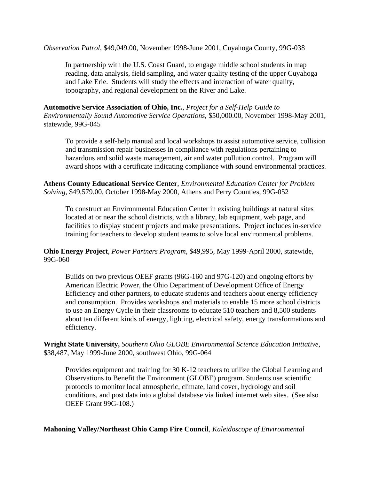*Observation Patrol*, \$49,049.00, November 1998-June 2001, Cuyahoga County, 99G-038

In partnership with the U.S. Coast Guard, to engage middle school students in map reading, data analysis, field sampling, and water quality testing of the upper Cuyahoga and Lake Erie. Students will study the effects and interaction of water quality, topography, and regional development on the River and Lake.

**Automotive Service Association of Ohio, Inc.**, *Project for a Self-Help Guide to Environmentally Sound Automotive Service Operations*, \$50,000.00, November 1998-May 2001, statewide, 99G-045

To provide a self-help manual and local workshops to assist automotive service, collision and transmission repair businesses in compliance with regulations pertaining to hazardous and solid waste management, air and water pollution control. Program will award shops with a certificate indicating compliance with sound environmental practices.

**Athens County Educational Service Center**, *Environmental Education Center for Problem Solving*, \$49,579.00, October 1998-May 2000, Athens and Perry Counties, 99G-052

To construct an Environmental Education Center in existing buildings at natural sites located at or near the school districts, with a library, lab equipment, web page, and facilities to display student projects and make presentations. Project includes in-service training for teachers to develop student teams to solve local environmental problems.

**Ohio Energy Project**, *Power Partners Program*, \$49,995, May 1999-April 2000, statewide, 99G-060

Builds on two previous OEEF grants (96G-160 and 97G-120) and ongoing efforts by American Electric Power, the Ohio Department of Development Office of Energy Efficiency and other partners, to educate students and teachers about energy efficiency and consumption. Provides workshops and materials to enable 15 more school districts to use an Energy Cycle in their classrooms to educate 510 teachers and 8,500 students about ten different kinds of energy, lighting, electrical safety, energy transformations and efficiency.

**Wright State University,** *Southern Ohio GLOBE Environmental Science Education Initiative*, \$38,487, May 1999-June 2000, southwest Ohio, 99G-064

Provides equipment and training for 30 K-12 teachers to utilize the Global Learning and Observations to Benefit the Environment (GLOBE) program. Students use scientific protocols to monitor local atmospheric, climate, land cover, hydrology and soil conditions, and post data into a global database via linked internet web sites. (See also OEEF Grant 99G-108.)

**Mahoning Valley/Northeast Ohio Camp Fire Council**, *Kaleidoscope of Environmental*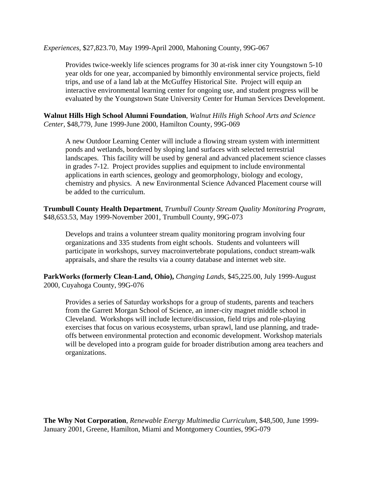*Experiences*, \$27,823.70, May 1999-April 2000, Mahoning County, 99G-067

Provides twice-weekly life sciences programs for 30 at-risk inner city Youngstown 5-10 year olds for one year, accompanied by bimonthly environmental service projects, field trips, and use of a land lab at the McGuffey Historical Site. Project will equip an interactive environmental learning center for ongoing use, and student progress will be evaluated by the Youngstown State University Center for Human Services Development.

**Walnut Hills High School Alumni Foundation**, *Walnut Hills High School Arts and Science Center*, \$48,779, June 1999-June 2000, Hamilton County, 99G-069

A new Outdoor Learning Center will include a flowing stream system with intermittent ponds and wetlands, bordered by sloping land surfaces with selected terrestrial landscapes. This facility will be used by general and advanced placement science classes in grades 7-12. Project provides supplies and equipment to include environmental applications in earth sciences, geology and geomorphology, biology and ecology, chemistry and physics. A new Environmental Science Advanced Placement course will be added to the curriculum.

**Trumbull County Health Department**, *Trumbull County Stream Quality Monitoring Program*, \$48,653.53, May 1999-November 2001, Trumbull County, 99G-073

Develops and trains a volunteer stream quality monitoring program involving four organizations and 335 students from eight schools. Students and volunteers will participate in workshops, survey macroinvertebrate populations, conduct stream-walk appraisals, and share the results via a county database and internet web site.

**ParkWorks (formerly Clean-Land, Ohio),** *Changing Lands*, \$45,225.00, July 1999-August 2000, Cuyahoga County, 99G-076

Provides a series of Saturday workshops for a group of students, parents and teachers from the Garrett Morgan School of Science, an inner-city magnet middle school in Cleveland. Workshops will include lecture/discussion, field trips and role-playing exercises that focus on various ecosystems, urban sprawl, land use planning, and tradeoffs between environmental protection and economic development. Workshop materials will be developed into a program guide for broader distribution among area teachers and organizations.

**The Why Not Corporation**, *Renewable Energy Multimedia Curriculum*, \$48,500, June 1999- January 2001, Greene, Hamilton, Miami and Montgomery Counties, 99G-079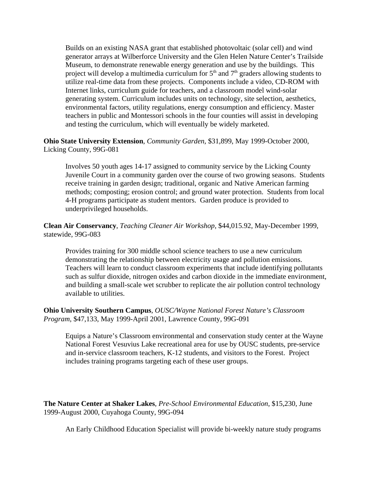Builds on an existing NASA grant that established photovoltaic (solar cell) and wind generator arrays at Wilberforce University and the Glen Helen Nature Center's Trailside Museum, to demonstrate renewable energy generation and use by the buildings. This project will develop a multimedia curriculum for  $5<sup>th</sup>$  and  $7<sup>th</sup>$  graders allowing students to utilize real-time data from these projects. Components include a video, CD-ROM with Internet links, curriculum guide for teachers, and a classroom model wind-solar generating system. Curriculum includes units on technology, site selection, aesthetics, environmental factors, utility regulations, energy consumption and efficiency. Master teachers in public and Montessori schools in the four counties will assist in developing and testing the curriculum, which will eventually be widely marketed.

**Ohio State University Extension**, *Community Garden*, \$31,899, May 1999-October 2000, Licking County, 99G-081

Involves 50 youth ages 14-17 assigned to community service by the Licking County Juvenile Court in a community garden over the course of two growing seasons. Students receive training in garden design; traditional, organic and Native American farming methods; composting; erosion control; and ground water protection. Students from local 4-H programs participate as student mentors. Garden produce is provided to underprivileged households.

**Clean Air Conservancy**, *Teaching Cleaner Air Workshop*, \$44,015.92, May-December 1999, statewide, 99G-083

Provides training for 300 middle school science teachers to use a new curriculum demonstrating the relationship between electricity usage and pollution emissions. Teachers will learn to conduct classroom experiments that include identifying pollutants such as sulfur dioxide, nitrogen oxides and carbon dioxide in the immediate environment, and building a small-scale wet scrubber to replicate the air pollution control technology available to utilities.

**Ohio University Southern Campus**, *OUSC/Wayne National Forest Nature's Classroom Program*, \$47,133, May 1999-April 2001, Lawrence County, 99G-091

Equips a Nature's Classroom environmental and conservation study center at the Wayne National Forest Vesuvius Lake recreational area for use by OUSC students, pre-service and in-service classroom teachers, K-12 students, and visitors to the Forest. Project includes training programs targeting each of these user groups.

**The Nature Center at Shaker Lakes**, *Pre-School Environmental Education*, \$15,230, June 1999-August 2000, Cuyahoga County, 99G-094

An Early Childhood Education Specialist will provide bi-weekly nature study programs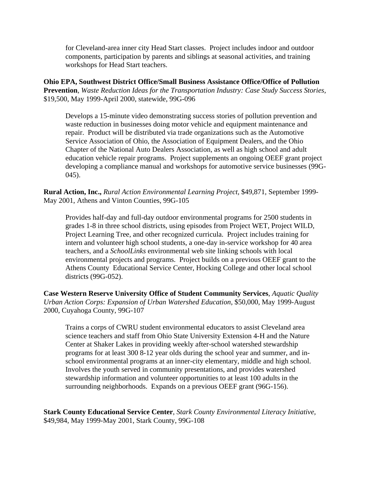for Cleveland-area inner city Head Start classes. Project includes indoor and outdoor components, participation by parents and siblings at seasonal activities, and training workshops for Head Start teachers.

**Ohio EPA, Southwest District Office/Small Business Assistance Office/Office of Pollution Prevention**, *Waste Reduction Ideas for the Transportation Industry: Case Study Success Stories,* \$19,500, May 1999-April 2000, statewide, 99G-096

Develops a 15-minute video demonstrating success stories of pollution prevention and waste reduction in businesses doing motor vehicle and equipment maintenance and repair. Product will be distributed via trade organizations such as the Automotive Service Association of Ohio, the Association of Equipment Dealers, and the Ohio Chapter of the National Auto Dealers Association, as well as high school and adult education vehicle repair programs. Project supplements an ongoing OEEF grant project developing a compliance manual and workshops for automotive service businesses (99G-045).

**Rural Action, Inc.,** *Rural Action Environmental Learning Project,* \$49,871, September 1999- May 2001, Athens and Vinton Counties, 99G-105

Provides half-day and full-day outdoor environmental programs for 2500 students in grades 1-8 in three school districts, using episodes from Project WET, Project WILD, Project Learning Tree, and other recognized curricula. Project includes training for intern and volunteer high school students, a one-day in-service workshop for 40 area teachers, and a *SchoolLinks* environmental web site linking schools with local environmental projects and programs. Project builds on a previous OEEF grant to the Athens County Educational Service Center, Hocking College and other local school districts (99G-052).

**Case Western Reserve University Office of Student Community Services**, *Aquatic Quality Urban Action Corps: Expansion of Urban Watershed Education*, \$50,000, May 1999-August 2000, Cuyahoga County, 99G-107

Trains a corps of CWRU student environmental educators to assist Cleveland area science teachers and staff from Ohio State University Extension 4-H and the Nature Center at Shaker Lakes in providing weekly after-school watershed stewardship programs for at least 300 8-12 year olds during the school year and summer, and inschool environmental programs at an inner-city elementary, middle and high school. Involves the youth served in community presentations, and provides watershed stewardship information and volunteer opportunities to at least 100 adults in the surrounding neighborhoods. Expands on a previous OEEF grant (96G-156).

**Stark County Educational Service Center**, *Stark County Environmental Literacy Initiative,* \$49,984, May 1999-May 2001, Stark County, 99G-108